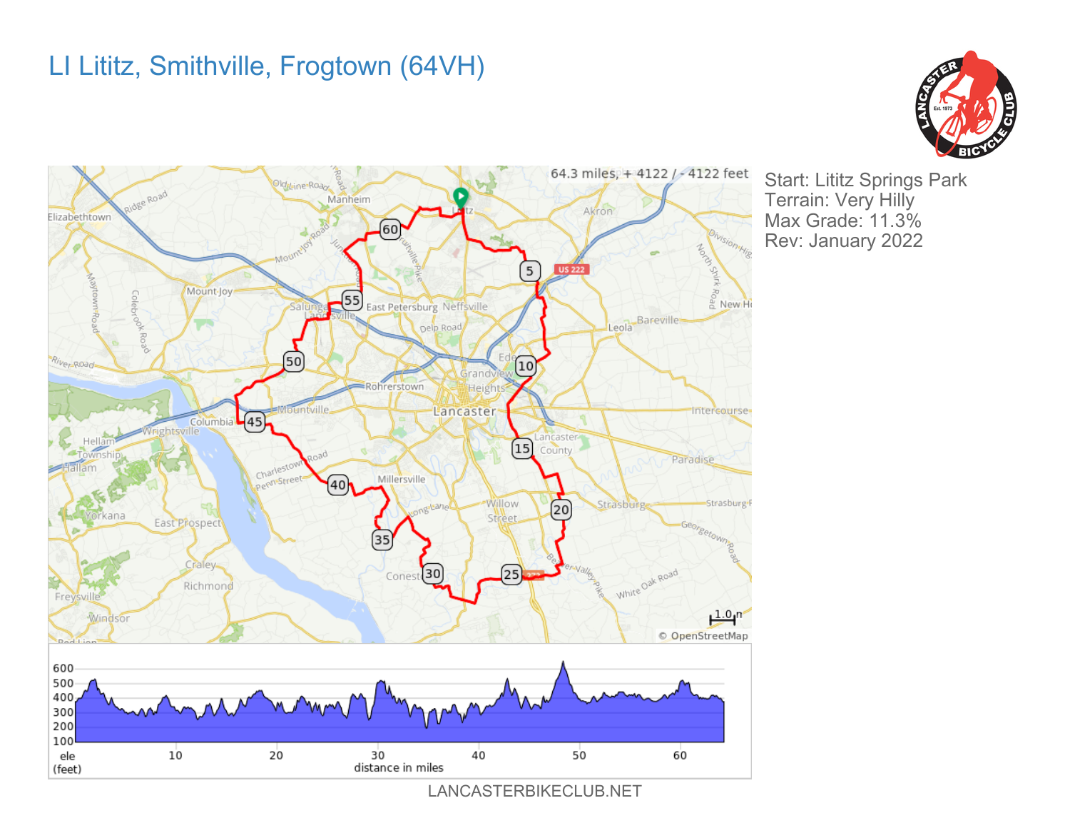## LI Lititz, Smithville, Frogtown (64VH)





Start: Lititz Springs Park Terrain: Very Hilly Max Grade: 11.3% Rev: January 2022

LANCASTERBIKECLUB.NET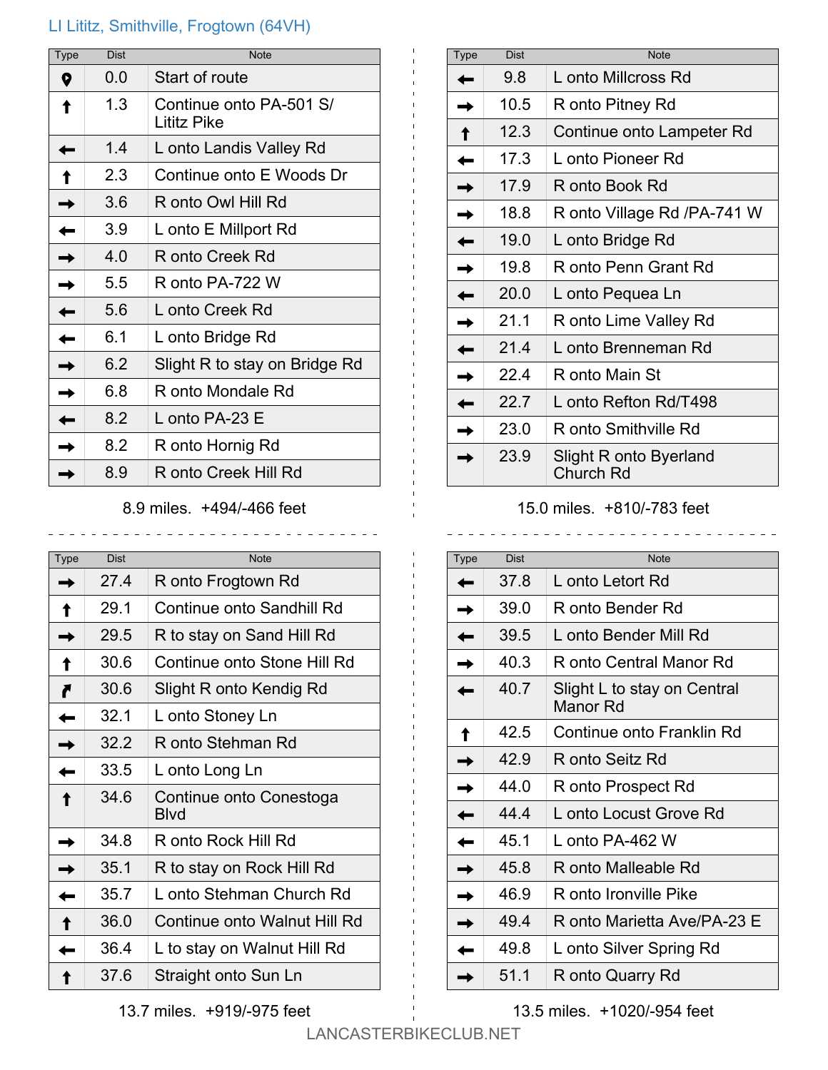## LI Lititz, Smithville, Frogtown (64VH)

| Type | <b>Dist</b> | <b>Note</b>                            |
|------|-------------|----------------------------------------|
| Q    | 0.0         | Start of route                         |
|      | 1.3         | Continue onto PA-501 S/<br>Lititz Pike |
|      | 1.4         | L onto Landis Valley Rd                |
|      | 2.3         | Continue onto E Woods Dr               |
|      | 3.6         | R onto Owl Hill Rd                     |
|      | 39          | L onto E Millport Rd                   |
|      | 4 Q         | R onto Creek Rd                        |
|      | 5.5         | R onto PA-722 W                        |
|      | 5.6         | L onto Creek Rd                        |
|      | 6.1         | L onto Bridge Rd                       |
|      | 6.2         | Slight R to stay on Bridge Rd          |
|      | 6.8         | R onto Mondale Rd                      |
|      | 8.2         | L onto PA-23 E                         |
|      | 8.2         | R onto Hornig Rd                       |
|      | 8.9         | R onto Creek Hill Rd                   |

8.9 miles. +494/-466 feet

| Type | <b>Dist</b> | <b>Note</b>                     |
|------|-------------|---------------------------------|
|      | 27.4        | R onto Frogtown Rd              |
|      | 29.1        | Continue onto Sandhill Rd       |
|      | 29.5        | R to stay on Sand Hill Rd       |
|      | 30.6        | Continue onto Stone Hill Rd     |
|      | 30.6        | Slight R onto Kendig Rd         |
|      | 32.1        | L onto Stoney Ln                |
|      | 32.2        | R onto Stehman Rd               |
|      | 33.5        | L onto Long Ln                  |
|      | 34.6        | Continue onto Conestoga<br>Blvd |
|      | 34.8        | R onto Rock Hill Rd             |
|      | 35.1        | R to stay on Rock Hill Rd       |
|      | 35.7        | L onto Stehman Church Rd        |
|      | 36.0        | Continue onto Walnut Hill Rd    |
|      | 36.4        | L to stay on Walnut Hill Rd     |
|      | 37.6        | Straight onto Sun Ln            |

| Type | <b>Dist</b> | Note                                |
|------|-------------|-------------------------------------|
|      | 9.8         | L onto Millcross Rd                 |
|      | 10.5        | R onto Pitney Rd                    |
|      | 12.3        | Continue onto Lampeter Rd           |
|      | 17.3        | L onto Pioneer Rd                   |
|      | 17.9        | R onto Book Rd                      |
|      | 18.8        | R onto Village Rd /PA-741 W         |
|      | 19.0        | L onto Bridge Rd                    |
|      | 19.8        | R onto Penn Grant Rd                |
|      | 20.0        | L onto Pequea Ln                    |
|      | 21.1        | R onto Lime Valley Rd               |
|      | 21 4        | L onto Brenneman Rd                 |
|      | 22.4        | R onto Main St                      |
|      | 22.7        | L onto Refton Rd/T498               |
|      | 23.0        | R onto Smithville Rd                |
|      | 23.9        | Slight R onto Byerland<br>Church Rd |

15.0 miles. +810/-783 feet

| <b>Type</b> | <b>Dist</b> | <b>Note</b>                             |
|-------------|-------------|-----------------------------------------|
|             | 37.8        | L onto Letort Rd                        |
|             | 39.0        | R onto Bender Rd                        |
|             | 39.5        | L onto Bender Mill Rd                   |
|             | 40.3        | R onto Central Manor Rd                 |
|             | 40.7        | Slight L to stay on Central<br>Manor Rd |
|             | 42.5        | Continue onto Franklin Rd               |
|             | 429         | R onto Seitz Rd                         |
|             | 44 O        | R onto Prospect Rd                      |
|             | 44 4        | L onto Locust Grove Rd                  |
|             | 45.1        | L_onto PA-462 W                         |
|             | 45.8        | R onto Malleable Rd                     |
|             | 46.9        | R onto Ironville Pike                   |
|             | 49.4        | R onto Marietta Ave/PA-23 E             |
|             | 49.8        | L onto Silver Spring Rd                 |
|             | 51 1        | R onto Quarry Rd                        |

13.5 miles. +1020/-954 feet

13.7 miles. +919/-975 feet

 $\mathbf{I}$